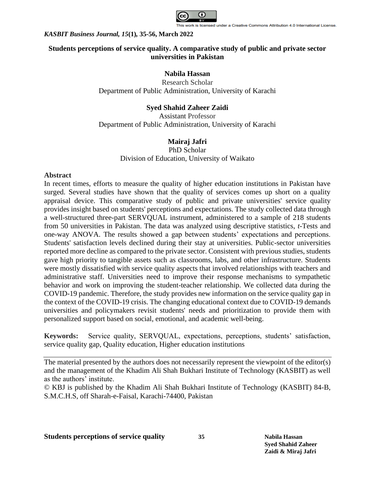

# **Students perceptions of service quality. A comparative study of public and private sector universities in Pakistan**

## **Nabila Hassan**

Research Scholar Department of Public Administration, University of Karachi

# **Syed Shahid Zaheer Zaidi**

Assistant Professor Department of Public Administration, University of Karachi

# **Mairaj Jafri**

PhD Scholar Division of Education, University of Waikato

## **Abstract**

In recent times, efforts to measure the quality of higher education institutions in Pakistan have surged. Several studies have shown that the quality of services comes up short on a quality appraisal device. This comparative study of public and private universities' service quality provides insight based on students' perceptions and expectations. The study collected data through a well-structured three-part SERVQUAL instrument, administered to a sample of 218 students from 50 universities in Pakistan. The data was analyzed using descriptive statistics, *t*-Tests and one-way ANOVA. The results showed a gap between students' expectations and perceptions. Students' satisfaction levels declined during their stay at universities. Public-sector universities reported more decline as compared to the private sector. Consistent with previous studies, students gave high priority to tangible assets such as classrooms, labs, and other infrastructure. Students were mostly dissatisfied with service quality aspects that involved relationships with teachers and administrative staff. Universities need to improve their response mechanisms to sympathetic behavior and work on improving the student-teacher relationship. We collected data during the COVID-19 pandemic. Therefore, the study provides new information on the service quality gap in the context of the COVID-19 crisis. The changing educational context due to COVID-19 demands universities and policymakers revisit students' needs and prioritization to provide them with personalized support based on social, emotional, and academic well-being.

**Keywords:** Service quality, SERVQUAL, expectations, perceptions, students' satisfaction, service quality gap, Quality education, Higher education institutions

© KBJ is published by the Khadim Ali Shah Bukhari Institute of Technology (KASBIT) 84-B, S.M.C.H.S, off Sharah-e-Faisal, Karachi-74400, Pakistan

The material presented by the authors does not necessarily represent the viewpoint of the editor(s) and the management of the Khadim Ali Shah Bukhari Institute of Technology (KASBIT) as well as the authors' institute.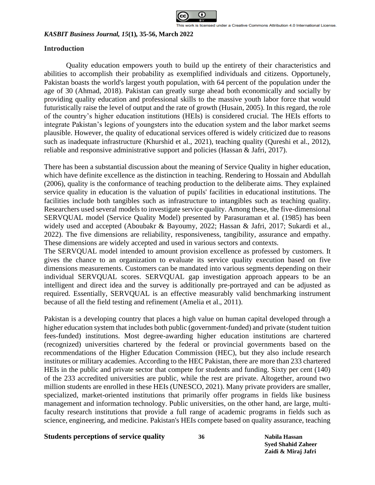

## **Introduction**

Quality education empowers youth to build up the entirety of their characteristics and abilities to accomplish their probability as exemplified individuals and citizens. Opportunely, Pakistan boasts the world's largest youth population, with 64 percent of the population under the age of 30 (Ahmad, 2018). Pakistan can greatly surge ahead both economically and socially by providing quality education and professional skills to the massive youth labor force that would futuristically raise the level of output and the rate of growth (Husain, 2005). In this regard, the role of the country's higher education institutions (HEIs) is considered crucial. The HEIs efforts to integrate Pakistan's legions of youngsters into the education system and the labor market seems plausible. However, the quality of educational services offered is widely criticized due to reasons such as inadequate infrastructure (Khurshid et al., 2021), teaching quality (Qureshi et al., 2012), reliable and responsive administrative support and policies (Hassan & Jafri, 2017).

There has been a substantial discussion about the meaning of Service Quality in higher education, which have definite excellence as the distinction in teaching. Rendering to Hossain and Abdullah (2006), quality is the conformance of teaching production to the deliberate aims. They explained service quality in education is the valuation of pupils' facilities in educational institutions. The facilities include both tangibles such as infrastructure to intangibles such as teaching quality. Researchers used several models to investigate service quality. Among these, the five-dimensional SERVQUAL model (Service Quality Model) presented by Parasuraman et al. (1985) has been widely used and accepted (Aboubakr & Bayoumy, 2022; Hassan & Jafri, 2017; Sukardi et al., 2022). The five dimensions are reliability, responsiveness, tangibility, assurance and empathy. These dimensions are widely accepted and used in various sectors and contexts.

The SERVQUAL model intended to amount provision excellence as professed by customers. It gives the chance to an organization to evaluate its service quality execution based on five dimensions measurements. Customers can be mandated into various segments depending on their individual SERVQUAL scores. SERVQUAL gap investigation approach appears to be an intelligent and direct idea and the survey is additionally pre-portrayed and can be adjusted as required. Essentially, SERVQUAL is an effective measurably valid benchmarking instrument because of all the field testing and refinement (Amelia et al., 2011).

Pakistan is a developing country that places a high value on human capital developed through a higher education system that includes both public (government-funded) and private (student tuition fees-funded) institutions. Most degree-awarding higher education institutions are chartered (recognized) universities chartered by the federal or provincial governments based on the recommendations of the Higher Education Commission (HEC), but they also include research institutes or military academies. According to the HEC Pakistan, there are more than 233 chartered HEIs in the public and private sector that compete for students and funding. Sixty per cent (140) of the 233 accredited universities are public, while the rest are private. Altogether, around two million students are enrolled in these HEIs (UNESCO, 2021). Many private providers are smaller, specialized, market-oriented institutions that primarily offer programs in fields like business management and information technology. Public universities, on the other hand, are large, multifaculty research institutions that provide a full range of academic programs in fields such as science, engineering, and medicine. Pakistan's HEIs compete based on quality assurance, teaching

## **Students perceptions of service quality 36 Nabila Hassan**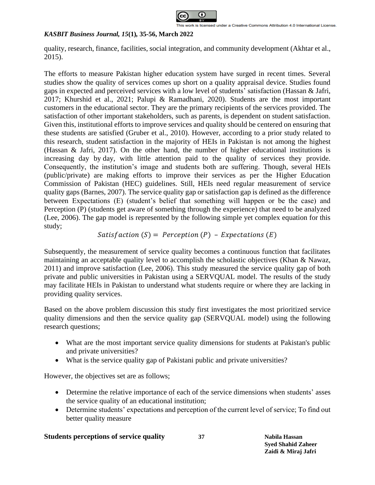

quality, research, finance, facilities, social integration, and community development (Akhtar et al., 2015).

The efforts to measure Pakistan higher education system have surged in recent times. Several studies show the quality of services comes up short on a quality appraisal device. Studies found gaps in expected and perceived services with a low level of students' satisfaction (Hassan & Jafri, 2017; Khurshid et al., 2021; Palupi & Ramadhani, 2020). Students are the most important customers in the educational sector. They are the primary recipients of the services provided. The satisfaction of other important stakeholders, such as parents, is dependent on student satisfaction. Given this, institutional efforts to improve services and quality should be centered on ensuring that these students are satisfied (Gruber et al., 2010). However, according to a prior study related to this research, student satisfaction in the majority of HEIs in Pakistan is not among the highest (Hassan & Jafri, 2017). On the other hand, the number of higher educational institutions is increasing day by day, with little attention paid to the quality of services they provide. Consequently, the institution's image and students both are suffering. Though, several HEIs (public/private) are making efforts to improve their services as per the Higher Education Commission of Pakistan (HEC) guidelines. Still, HEIs need regular measurement of service quality gaps (Barnes, 2007). The service quality gap or satisfaction gap is defined as the difference between Expectations (E) (student's belief that something will happen or be the case) and Perception (P) (students get aware of something through the experience) that need to be analyzed (Lee, 2006). The gap model is represented by the following simple yet complex equation for this study;

*Satisf* 
$$
(S)
$$
 = *Perception*  $(P)$  - *Expectations*  $(E)$ 

Subsequently, the measurement of service quality becomes a continuous function that facilitates maintaining an acceptable quality level to accomplish the scholastic objectives (Khan & Nawaz, 2011) and improve satisfaction (Lee, 2006). This study measured the service quality gap of both private and public universities in Pakistan using a SERVQUAL model. The results of the study may facilitate HEIs in Pakistan to understand what students require or where they are lacking in providing quality services.

Based on the above problem discussion this study first investigates the most prioritized service quality dimensions and then the service quality gap (SERVQUAL model) using the following research questions;

- What are the most important service quality dimensions for students at Pakistan's public and private universities?
- What is the service quality gap of Pakistani public and private universities?

However, the objectives set are as follows;

- Determine the relative importance of each of the service dimensions when students' asses the service quality of an educational institution;
- Determine students' expectations and perception of the current level of service; To find out better quality measure

## **Students perceptions of service quality 37 Nabila Hassan**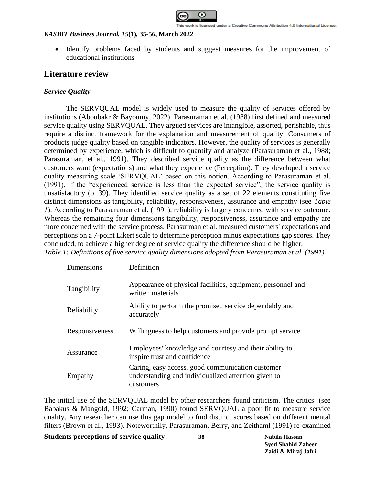

• Identify problems faced by students and suggest measures for the improvement of educational institutions

# **Literature review**

## *Service Quality*

The SERVQUAL model is widely used to measure the quality of services offered by institutions (Aboubakr & Bayoumy, 2022). Parasuraman et al. (1988) first defined and measured service quality using SERVQUAL. They argued services are intangible, assorted, perishable, thus require a distinct framework for the explanation and measurement of quality. Consumers of products judge quality based on tangible indicators. However, the quality of services is generally determined by experience, which is difficult to quantify and analyze (Parasuraman et al., 1988; Parasuraman, et al., 1991). They described service quality as the difference between what customers want (expectations) and what they experience (Perception). They developed a service quality measuring scale 'SERVQUAL' based on this notion. According to Parasuraman et al. (1991), if the "experienced service is less than the expected service", the service quality is unsatisfactory (p. 39). They identified service quality as a set of 22 elements constituting five distinct dimensions as tangibility, reliability, responsiveness, assurance and empathy (see *[Table](#page-3-0)  [1](#page-3-0)*). According to Parasuraman et al. (1991), reliability is largely concerned with service outcome. Whereas the remaining four dimensions tangibility, responsiveness, assurance and empathy are more concerned with the service process. Parasurman et al. measured customers' expectations and perceptions on a 7-point Likert scale to determine perception minus expectations gap scores. They concluded, to achieve a higher degree of service quality the difference should be higher. *Table 1: Definitions of five service quality dimensions adopted from Parasuraman et al. (1991)*

<span id="page-3-0"></span>

| Dimensions     | Definition                                                                                                           |
|----------------|----------------------------------------------------------------------------------------------------------------------|
| Tangibility    | Appearance of physical facilities, equipment, personnel and<br>written materials                                     |
| Reliability    | Ability to perform the promised service dependably and<br>accurately                                                 |
| Responsiveness | Willingness to help customers and provide prompt service                                                             |
| Assurance      | Employees' knowledge and courtesy and their ability to<br>inspire trust and confidence                               |
| Empathy        | Caring, easy access, good communication customer<br>understanding and individualized attention given to<br>customers |

The initial use of the SERVQUAL model by other researchers found criticism. The critics (see Babakus & Mangold, 1992; Carman, 1990) found SERVQUAL a poor fit to measure service quality. Any researcher can use this gap model to find distinct scores based on different mental filters (Brown et al., 1993). Noteworthily, Parasuraman, Berry, and Zeithaml (1991) re-examined

### **Students perceptions of service quality 38 Nabila Hassan**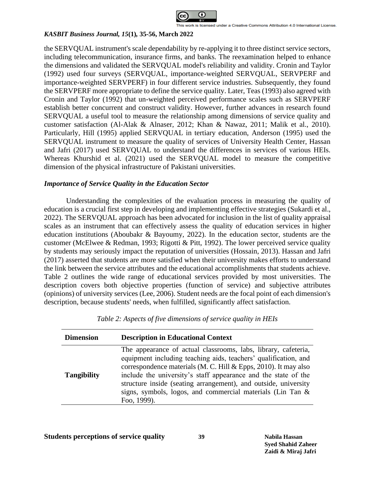

the SERVQUAL instrument's scale dependability by re-applying it to three distinct service sectors, including telecommunication, insurance firms, and banks. The reexamination helped to enhance the dimensions and validated the SERVQUAL model's reliability and validity. Cronin and Taylor (1992) used four surveys (SERVQUAL, importance-weighted SERVQUAL, SERVPERF and importance-weighted SERVPERF) in four different service industries. Subsequently, they found the SERVPERF more appropriate to define the service quality. Later, Teas (1993) also agreed with Cronin and Taylor (1992) that un-weighted perceived performance scales such as SERVPERF establish better concurrent and construct validity. However, further advances in research found SERVQUAL a useful tool to measure the relationship among dimensions of service quality and customer satisfaction (Al-Alak & Alnaser, 2012; Khan & Nawaz, 2011; Malik et al., 2010). Particularly, Hill (1995) applied SERVQUAL in tertiary education, Anderson (1995) used the SERVQUAL instrument to measure the quality of services of University Health Center, Hassan and Jafri (2017) used SERVQUAL to understand the differences in services of various HEIs. Whereas Khurshid et al. (2021) used the SERVQUAL model to measure the competitive dimension of the physical infrastructure of Pakistani universities.

## *Importance of Service Quality in the Education Sector*

Understanding the complexities of the evaluation process in measuring the quality of education is a crucial first step in developing and implementing effective strategies (Sukardi et al., 2022). The SERVQUAL approach has been advocated for inclusion in the list of quality appraisal scales as an instrument that can effectively assess the quality of education services in higher education institutions (Aboubakr & Bayoumy, 2022). In the education sector, students are the customer (McElwee & Redman, 1993; Rigotti & Pitt, 1992). The lower perceived service quality by students may seriously impact the reputation of universities (Hossain, 2013). Hassan and Jafri (2017) asserted that students are more satisfied when their university makes efforts to understand the link between the service attributes and the educational accomplishments that students achieve. Table 2 outlines the wide range of educational services provided by most universities. The description covers both objective properties (function of service) and subjective attributes (opinions) of university services (Lee, 2006). Student needs are the focal point of each dimension's description, because students' needs, when fulfilled, significantly affect satisfaction.

| <b>Dimension</b>   | <b>Description in Educational Context</b>                                                                                                                                                                                                                                                                                                                                                                                |
|--------------------|--------------------------------------------------------------------------------------------------------------------------------------------------------------------------------------------------------------------------------------------------------------------------------------------------------------------------------------------------------------------------------------------------------------------------|
| <b>Tangibility</b> | The appearance of actual classrooms, labs, library, cafeteria,<br>equipment including teaching aids, teachers' qualification, and<br>correspondence materials (M. C. Hill $&$ Epps, 2010). It may also<br>include the university's staff appearance and the state of the<br>structure inside (seating arrangement), and outside, university<br>signs, symbols, logos, and commercial materials (Lin Tan &<br>Foo, 1999). |

*Table 2: Aspects of five dimensions of service quality in HEIs*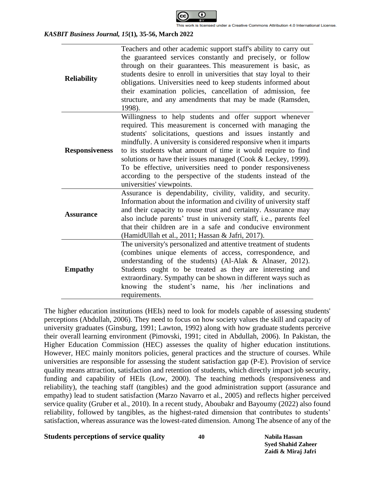

| <b>Reliability</b>    | Teachers and other academic support staff's ability to carry out<br>the guaranteed services constantly and precisely, or follow<br>through on their guarantees. This measurement is basic, as<br>students desire to enroll in universities that stay loyal to their<br>obligations. Universities need to keep students informed about<br>their examination policies, cancellation of admission, fee<br>structure, and any amendments that may be made (Ramsden,<br>1998).                                                                           |
|-----------------------|-----------------------------------------------------------------------------------------------------------------------------------------------------------------------------------------------------------------------------------------------------------------------------------------------------------------------------------------------------------------------------------------------------------------------------------------------------------------------------------------------------------------------------------------------------|
| <b>Responsiveness</b> | Willingness to help students and offer support whenever<br>required. This measurement is concerned with managing the<br>students' solicitations, questions and issues instantly and<br>mindfully. A university is considered responsive when it imparts<br>to its students what amount of time it would require to find<br>solutions or have their issues managed (Cook & Leckey, 1999).<br>To be effective, universities need to ponder responsiveness<br>according to the perspective of the students instead of the<br>universities' viewpoints. |
| <b>Assurance</b>      | Assurance is dependability, civility, validity, and security.<br>Information about the information and civility of university staff<br>and their capacity to rouse trust and certainty. Assurance may<br>also include parents' trust in university staff, i.e., parents feel<br>that their children are in a safe and conducive environment<br>(HamidUllah et al., 2011; Hassan & Jafri, 2017).                                                                                                                                                     |
| <b>Empathy</b>        | The university's personalized and attentive treatment of students<br>(combines unique elements of access, correspondence, and<br>understanding of the students) (Al-Alak & Alnaser, 2012).<br>Students ought to be treated as they are interesting and<br>extraordinary. Sympathy can be shown in different ways such as<br>student's name, his /her inclinations<br>knowing the<br>and<br>requirements.                                                                                                                                            |

The higher education institutions (HEIs) need to look for models capable of assessing students' perceptions (Abdullah, 2006). They need to focus on how society values the skill and capacity of university graduates (Ginsburg, 1991; Lawton, 1992) along with how graduate students perceive their overall learning environment (Pimovski, 1991; cited in Abdullah, 2006). In Pakistan, the Higher Education Commission (HEC) assesses the quality of higher education institutions. However, HEC mainly monitors policies, general practices and the structure of courses. While universities are responsible for assessing the student satisfaction gap (P-E). Provision of service quality means attraction, satisfaction and retention of students, which directly impact job security, funding and capability of HEIs (Low, 2000). The teaching methods (responsiveness and reliability), the teaching staff (tangibles) and the good administration support (assurance and empathy) lead to student satisfaction (Marzo Navarro et al., 2005) and reflects higher perceived service quality (Gruber et al., 2010). In a recent study, Aboubakr and Bayoumy (2022) also found reliability, followed by tangibles, as the highest-rated dimension that contributes to students' satisfaction, whereas assurance was the lowest-rated dimension. Among The absence of any of the

### **Students perceptions of service quality 40 Nabila Hassan**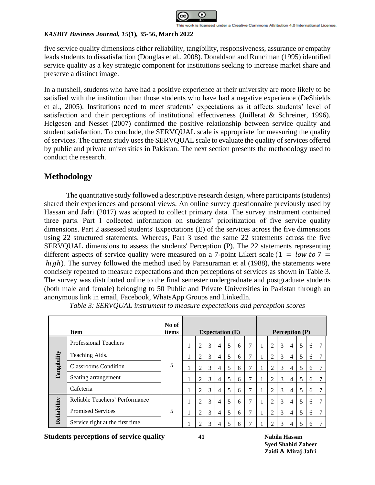

five service quality dimensions either reliability, tangibility, responsiveness, assurance or empathy leads students to dissatisfaction (Douglas et al., 2008). Donaldson and Runciman (1995) identified service quality as a key strategic component for institutions seeking to increase market share and preserve a distinct image.

In a nutshell, students who have had a positive experience at their university are more likely to be satisfied with the institution than those students who have had a negative experience (DeShields et al., 2005). Institutions need to meet students' expectations as it affects students' level of satisfaction and their perceptions of institutional effectiveness (Juillerat & Schreiner, 1996). Helgesen and Nesset (2007) confirmed the positive relationship between service quality and student satisfaction. To conclude, the SERVQUAL scale is appropriate for measuring the quality of services. The current study uses the SERVQUAL scale to evaluate the quality of services offered by public and private universities in Pakistan. The next section presents the methodology used to conduct the research.

# **Methodology**

The quantitative study followed a descriptive research design, where participants (students) shared their experiences and personal views. An online survey questionnaire previously used by Hassan and Jafri (2017) was adopted to collect primary data. The survey instrument contained three parts. Part 1 collected information on students' prioritization of five service quality dimensions. Part 2 assessed students' Expectations (E) of the services across the five dimensions using 22 structured statements. Whereas, Part 3 used the same 22 statements across the five SERVQUAL dimensions to assess the students' Perception (P). The 22 statements representing different aspects of service quality were measured on a 7-point Likert scale (1 = low to 7 =  $high$ ). The survey followed the method used by Parasuraman et al (1988), the statements were concisely repeated to measure expectations and then perceptions of services as shown in [Table 3.](#page-6-0) The survey was distributed online to the final semester undergraduate and postgraduate students (both male and female) belonging to 50 Public and Private Universities in Pakistan through an anonymous link in email, Facebook, WhatsApp Groups and LinkedIn.

<span id="page-6-0"></span>

|             | <b>Item</b>                      | No of<br>items |   |   |                | Expectation $(E)$ |   |                |                |   |                | <b>Perception</b> (P) |   |  |
|-------------|----------------------------------|----------------|---|---|----------------|-------------------|---|----------------|----------------|---|----------------|-----------------------|---|--|
|             | <b>Professional Teachers</b>     |                | 2 | 3 | $\overline{4}$ | 5                 | 6 | $\overline{7}$ | 2              | 3 | $\overline{4}$ | 5                     | 6 |  |
|             | Teaching Aids.                   |                |   | 3 | 4              | 5                 | 6 | 7              | 2              | 3 | $\overline{4}$ | 5                     | 6 |  |
| Tangibility | <b>Classrooms Condition</b>      | 5              |   | 3 | 4              | 5                 | 6 | 7              | 2              | 3 | $\overline{4}$ | 5                     | 6 |  |
|             | Seating arrangement              |                | 2 | 3 | $\overline{4}$ | 5                 | 6 | 7              | $\overline{2}$ | 3 | $\overline{4}$ | 5                     | 6 |  |
|             | Cafeteria                        |                | 2 | 3 | $\overline{4}$ | 5                 | 6 | 7              | 2              | 3 | $\overline{4}$ | 5                     | 6 |  |
|             | Reliable Teachers' Performance   |                | 2 | 3 | $\overline{4}$ | 5                 | 6 | 7              | 2              | 3 | $\overline{4}$ | 5                     | 6 |  |
| Reliability | <b>Promised Services</b>         | 5              | 2 | 3 | $\overline{4}$ | 5                 | 6 | 7              | $\overline{2}$ | 3 | $\overline{4}$ | 5                     | 6 |  |
|             | Service right at the first time. |                |   | 3 | 4              | 5                 | 6 | 7              | $\overline{2}$ | 3 | 4              | 5                     | 6 |  |

*Table 3: SERVQUAL instrument to measure expectations and perception scores* 

**Students perceptions of service quality 41 Nabila Hassan**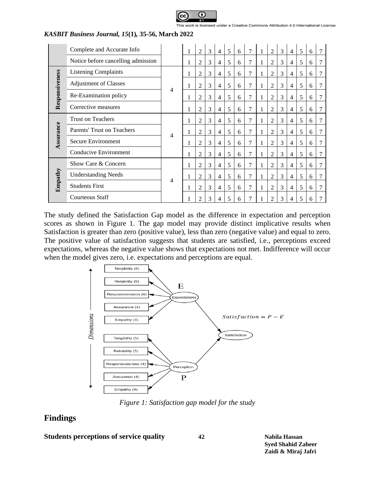

|                | Complete and Accurate Info         |   | 1 | $\overline{2}$ | 3 | $\overline{4}$ | 5 | 6 | 7              | 1 | $\overline{2}$ | 3 | $\overline{4}$ | 5 | 6 |   |
|----------------|------------------------------------|---|---|----------------|---|----------------|---|---|----------------|---|----------------|---|----------------|---|---|---|
|                | Notice before cancelling admission |   | 1 | 2              | 3 | $\overline{4}$ | 5 | 6 | 7              | 1 | $\overline{2}$ | 3 | $\overline{4}$ | 5 | 6 |   |
|                | <b>Listening Complaints</b>        |   |   | 2              | 3 | $\overline{4}$ | 5 | 6 | 7              | 1 | 2              | 3 | $\overline{4}$ | 5 | 6 | 7 |
|                | <b>Adjustment of Classes</b>       |   |   | 2              | 3 | $\overline{4}$ | 5 | 6 | 7              | 1 | 2              | 3 | $\overline{4}$ | 5 | 6 |   |
| Responsiveness | Re-Examination policy              | 4 |   | 2              | 3 | $\overline{4}$ | 5 | 6 | 7              | 1 | 2              | 3 | $\overline{4}$ | 5 | 6 | 7 |
|                | Corrective measures                |   |   | 2              | 3 | $\overline{4}$ | 5 | 6 | 7              | 1 | 2              | 3 | $\overline{4}$ | 5 | 6 | 7 |
|                | <b>Trust on Teachers</b>           |   | 1 | $\overline{2}$ | 3 | $\overline{4}$ | 5 | 6 | 7              | 1 | 2              | 3 | $\overline{4}$ | 5 | 6 | 7 |
| Assurance      | <b>Parents' Trust on Teachers</b>  | 4 |   | 2              | 3 | $\overline{4}$ | 5 | 6 | 7              | 1 | 2              | 3 | $\overline{4}$ | 5 | 6 |   |
|                | Secure Environment                 |   |   | 2              | 3 | $\overline{4}$ | 5 | 6 | $\overline{7}$ | 1 | $\overline{2}$ | 3 | $\overline{4}$ | 5 | 6 | 7 |
|                | Conducive Environment              |   |   | 2              | 3 | $\overline{4}$ | 5 | 6 | $\tau$         | 1 | 2              | 3 | $\overline{4}$ | 5 | 6 |   |
|                | Show Care & Concern                |   | 1 | $\overline{c}$ | 3 | $\overline{4}$ | 5 | 6 | 7              | 1 | $\overline{2}$ | 3 | $\overline{4}$ | 5 | 6 | 7 |
|                | <b>Understanding Needs</b>         | 4 |   | 2              | 3 | $\overline{4}$ | 5 | 6 | 7              | 1 | 2              | 3 | $\overline{4}$ | 5 | 6 | 7 |
| Empathy        | <b>Students First</b>              |   |   | 2              | 3 | $\overline{4}$ | 5 | 6 | 7              | 1 | 2              | 3 | $\overline{4}$ | 5 | 6 |   |
|                | Courteous Staff                    |   |   | 2              | 3 | 4              | 5 | 6 | 7              |   | 2              | 3 | 4              | 5 | 6 |   |

The study defined the Satisfaction Gap model as the difference in expectation and perception scores as shown in Figure 1. The gap model may provide distinct implicative results when Satisfaction is greater than zero (positive value), less than zero (negative value) and equal to zero. The positive value of satisfaction suggests that students are satisfied, i.e., perceptions exceed expectations, whereas the negative value shows that expectations not met. Indifference will occur when the model gives zero, i.e. expectations and perceptions are equal.



*Figure 1: Satisfaction gap model for the study*

# **Findings**

**Students perceptions of service quality 42 Nabila Hassan**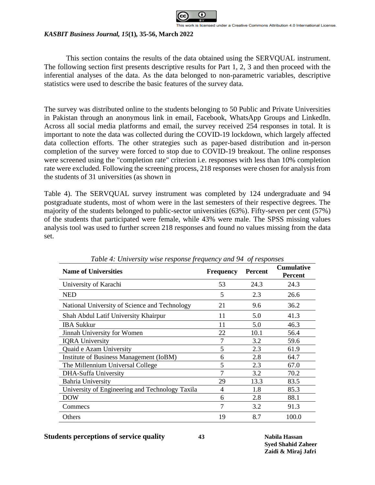

This section contains the results of the data obtained using the SERVQUAL instrument. The following section first presents descriptive results for Part 1, 2, 3 and then proceed with the inferential analyses of the data. As the data belonged to non-parametric variables, descriptive statistics were used to describe the basic features of the survey data.

The survey was distributed online to the students belonging to 50 Public and Private Universities in Pakistan through an anonymous link in email, Facebook, WhatsApp Groups and LinkedIn. Across all social media platforms and email, the survey received 254 responses in total. It is important to note the data was collected during the COVID-19 lockdown, which largely affected data collection efforts. The other strategies such as paper-based distribution and in-person completion of the survey were forced to stop due to COVID-19 breakout. The online responses were screened using the "completion rate" criterion i.e. responses with less than 10% completion rate were excluded. Following the screenin[g process, 218 responses were chosen for analysis from](#page-8-0)  the students of 31 universities (as shown in

[Table](#page-8-0) 4). The SERVQUAL survey instrument was completed by 124 undergraduate and 94 postgraduate students, most of whom were in the last semesters of their respective degrees. The majority of the students belonged to public-sector universities (63%). Fifty-seven per cent (57%) of the students that participated were female, while 43% were male. The SPSS missing values analysis tool was used to further screen 218 responses and found no values missing from the data set.

<span id="page-8-0"></span>

| <b>Name of Universities</b>                     | <b>Frequency</b> | <b>Percent</b> | <b>Cumulative</b><br><b>Percent</b> |
|-------------------------------------------------|------------------|----------------|-------------------------------------|
| University of Karachi                           | 53               | 24.3           | 24.3                                |
| <b>NED</b>                                      | 5                | 2.3            | 26.6                                |
| National University of Science and Technology   | 21               | 9.6            | 36.2                                |
| Shah Abdul Latif University Khairpur            | 11               | 5.0            | 41.3                                |
| <b>IBA Sukkur</b>                               | 11               | 5.0            | 46.3                                |
| Jinnah University for Women                     | 22               | 10.1           | 56.4                                |
| <b>IQRA University</b>                          | 7                | 3.2            | 59.6                                |
| Quaid e Azam University                         | 5                | 2.3            | 61.9                                |
| Institute of Business Management (IoBM)         | 6                | 2.8            | 64.7                                |
| The Millennium Universal College                | 5                | 2.3            | 67.0                                |
| <b>DHA-Suffa University</b>                     |                  | 3.2            | 70.2                                |
| <b>Bahria University</b>                        | 29               | 13.3           | 83.5                                |
| University of Engineering and Technology Taxila | 4                | 1.8            | 85.3                                |
| <b>DOW</b>                                      | 6                | 2.8            | 88.1                                |
| Commecs                                         | 7                | 3.2            | 91.3                                |
| Others                                          | 19               | 8.7            | 100.0                               |

*Table 4: University wise response frequency and 94 of responses*

**Students perceptions of service quality 43 Nabila Hassan**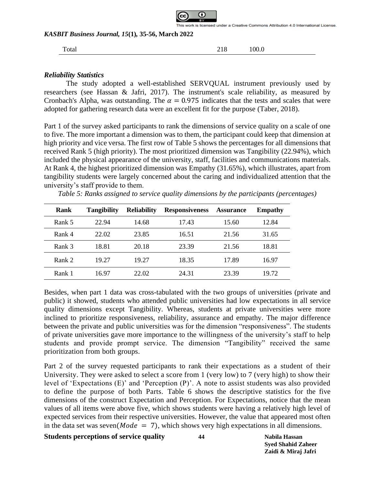

Total 218 100.0

### *Reliability Statistics*

The study adopted a well-established SERVQUAL instrument previously used by researchers (see Hassan & Jafri, 2017). The instrument's scale reliability, as measured by Cronbach's Alpha, was outstanding. The  $\alpha = 0.975$  indicates that the tests and scales that were adopted for gathering research data were an excellent fit for the purpose (Taber, 2018).

Part 1 of the survey asked participants to rank the dimensions of service quality on a scale of one to five. The more important a dimension was to them, the participant could keep that dimension at high priority and vice versa. The first row of [Table 5](#page-9-0) shows the percentages for all dimensions that received Rank 5 (high priority). The most prioritized dimension was Tangibility (22.94%), which included the physical appearance of the university, staff, facilities and communications materials. At Rank 4, the highest prioritized dimension was Empathy (31.65%), which illustrates, apart from tangibility students were largely concerned about the caring and individualized attention that the university's staff provide to them.

| Rank   | <b>Tangibility</b> | <b>Reliability</b> | <b>Responsiveness</b> | <b>Assurance</b> | <b>Empathy</b> |
|--------|--------------------|--------------------|-----------------------|------------------|----------------|
| Rank 5 | 22.94              | 14.68              | 17.43                 | 15.60            | 12.84          |
| Rank 4 | 22.02              | 23.85              | 16.51                 | 21.56            | 31.65          |
| Rank 3 | 18.81              | 20.18              | 23.39                 | 21.56            | 18.81          |
| Rank 2 | 19.27              | 19.27              | 18.35                 | 17.89            | 16.97          |
| Rank 1 | 16.97              | 22.02              | 24.31                 | 23.39            | 19.72          |

<span id="page-9-0"></span>*Table 5: Ranks assigned to service quality dimensions by the participants (percentages)*

Besides, when part 1 data was cross-tabulated with the two groups of universities (private and public) it showed, students who attended public universities had low expectations in all service quality dimensions except Tangibility. Whereas, students at private universities were more inclined to prioritize responsiveness, reliability, assurance and empathy. The major difference between the private and public universities was for the dimension "responsiveness". The students of private universities gave more importance to the willingness of the university's staff to help students and provide prompt service. The dimension "Tangibility" received the same prioritization from both groups.

Part 2 of the survey requested participants to rank their expectations as a student of their University. They were asked to select a score from 1 (very low) to 7 (very high) to show their level of 'Expectations (E)' and 'Perception (P)'. A note to assist students was also provided to define the purpose of both Parts. [Table 6](#page-10-0) shows the descriptive statistics for the five dimensions of the construct Expectation and Perception. For Expectations, notice that the mean values of all items were above five, which shows students were having a relatively high level of expected services from their respective universities. However, the value that appeared most often in the data set was seven( $Mode = 7$ ), which shows very high expectations in all dimensions.

## **Students perceptions of service quality 44 Nabila Hassan**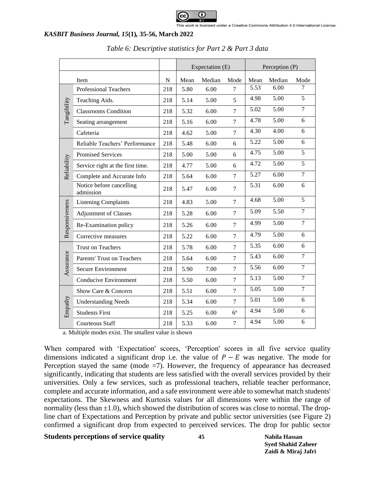

<span id="page-10-0"></span>

|                |                                       |     |      | Expectation (E) |                | Perception (P) |        |                |  |
|----------------|---------------------------------------|-----|------|-----------------|----------------|----------------|--------|----------------|--|
| Item           |                                       |     | Mean | Median          | Mode           | Mean           | Median | Mode           |  |
|                | <b>Professional Teachers</b>          | 218 | 5.80 | 6.00            | 7              | 5.53           | 6.00   | 7              |  |
|                | Teaching Aids.                        | 218 | 5.14 | 5.00            | 5              | 4.98           | 5.00   | 5              |  |
| Tangibility    | <b>Classrooms Condition</b>           | 218 | 5.32 | 6.00            | $\overline{7}$ | 5.02           | 5.00   | $\overline{7}$ |  |
|                | Seating arrangement                   | 218 | 5.16 | 6.00            | $\overline{7}$ | 4.78           | 5.00   | 6              |  |
|                | Cafeteria                             | 218 | 4.62 | 5.00            | $\overline{7}$ | 4.30           | 4.00   | 6              |  |
|                | Reliable Teachers' Performance        | 218 | 5.48 | 6.00            | 6              | 5.22           | 5.00   | 6              |  |
|                | <b>Promised Services</b>              | 218 | 5.00 | 5.00            | 6              | 4.75           | 5.00   | 5              |  |
| Reliability    | Service right at the first time.      | 218 | 4.77 | 5.00            | 6              | 4.72           | 5.00   | 5              |  |
|                | Complete and Accurate Info            | 218 | 5.64 | 6.00            | $\overline{7}$ | 5.27           | 6.00   | $\tau$         |  |
|                | Notice before cancelling<br>admission | 218 | 5.47 | 6.00            | $\overline{7}$ | 5.31           | 6.00   | 6              |  |
|                | <b>Listening Complaints</b>           | 218 | 4.83 | 5.00            | $\overline{7}$ | 4.68           | 5.00   | 5              |  |
|                | <b>Adjustment of Classes</b>          | 218 | 5.28 | 6.00            | $\overline{7}$ | 5.09           | 5.50   | $\overline{7}$ |  |
| Responsiveness | Re-Examination policy                 | 218 | 5.26 | 6.00            | $\overline{7}$ | 4.99           | 5.00   | $\overline{7}$ |  |
|                | Corrective measures                   | 218 | 5.22 | 6.00            | $\tau$         | 4.79           | 5.00   | 6              |  |
|                | <b>Trust on Teachers</b>              | 218 | 5.78 | 6.00            | $\overline{7}$ | 5.35           | 6.00   | 6              |  |
| Assurance      | <b>Parents' Trust on Teachers</b>     | 218 | 5.64 | 6.00            | $\tau$         | 5.43           | 6.00   | $\overline{7}$ |  |
|                | Secure Environment                    | 218 | 5.90 | 7.00            | $\overline{7}$ | 5.56           | 6.00   | $\overline{7}$ |  |
|                | <b>Conducive Environment</b>          | 218 | 5.50 | 6.00            | $\tau$         | 5.13           | 5.00   | $\overline{7}$ |  |
|                | Show Care & Concern                   | 218 | 5.51 | 6.00            | $\tau$         | 5.05           | 5.00   | $\overline{7}$ |  |
|                | <b>Understanding Needs</b>            | 218 | 5.34 | 6.00            | $\tau$         | 5.01           | 5.00   | 6              |  |
| Empathy        | <b>Students First</b>                 | 218 | 5.25 | 6.00            | $6^a$          | 4.94           | 5.00   | 6              |  |
|                | <b>Courteous Staff</b>                | 218 | 5.33 | 6.00            | $\overline{7}$ | 4.94           | 5.00   | 6              |  |

a. Multiple modes exist. The smallest value is shown

When compared with 'Expectation' scores, 'Perception' scores in all five service quality dimensions indicated a significant drop i.e. the value of  $P - E$  was negative. The mode for Perception stayed the same (mode  $=7$ ). However, the frequency of appearance has decreased significantly, indicating that students are less satisfied with the overall services provided by their universities. Only a few services, such as professional teachers, reliable teacher performance, complete and accurate information, and a safe environment were able to somewhat match students' expectations. The Skewness and Kurtosis values for all dimensions were within the range of normality (less than  $\pm 1.0$ ), which showed the distribution of scores was close to normal. The dropline chart of Expectations and Perception by private and public sector universities (see [Figure 2\)](#page-11-0) confirmed a significant drop from expected to perceived services. The drop for public sector

## **Students perceptions of service quality 45 Nabila Hassan**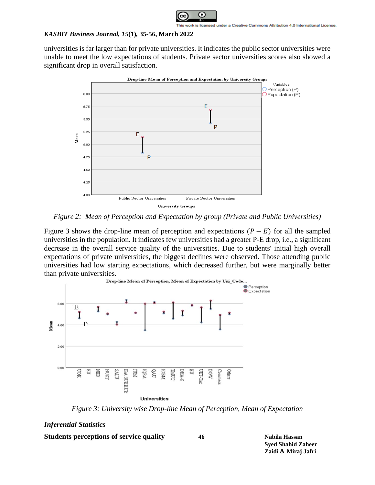

universities is far larger than for private universities. It indicates the public sector universities were unable to meet the low expectations of students. Private sector universities scores also showed a significant drop in overall satisfaction.



<span id="page-11-0"></span>*Figure 2: Mean of Perception and Expectation by group (Private and Public Universities)*

[Figure 3](#page-11-1) shows the drop-line mean of perception and expectations  $(P - E)$  for all the sampled universities in the population. It indicates few universities had a greater P-E drop, i.e., a significant decrease in the overall service quality of the universities. Due to students' initial high overall expectations of private universities, the biggest declines were observed. Those attending public universities had low starting expectations, which decreased further, but were marginally better than private universities.



*Figure 3: University wise Drop-line Mean of Perception, Mean of Expectation*

### <span id="page-11-1"></span>*Inferential Statistics*

**Students perceptions of service quality 46 Nabila Hassan**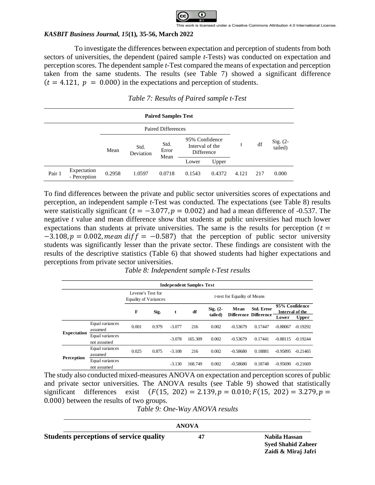

To investigate the differences between expectation and perception of students from both sectors of universities, the dependent (paired sample *t*-Tests) was conducted on expectation and perception scores. The dependent sample *t*-Test compared the means of expectation and perception taken from the same students. The results (see [Table 7\)](#page-12-0) showed a significant difference  $(t = 4.121, p = 0.000)$  in the expectations and perception of students.

<span id="page-12-0"></span>

|        | <b>Paired Samples Test</b>  |        |                   |                           |                                                 |        |       |     |                       |  |  |
|--------|-----------------------------|--------|-------------------|---------------------------|-------------------------------------------------|--------|-------|-----|-----------------------|--|--|
|        |                             |        |                   | <b>Paired Differences</b> |                                                 |        |       |     |                       |  |  |
|        |                             | Mean   | Std.<br>Deviation | Std.<br>Error<br>Mean     | 95% Confidence<br>Interval of the<br>Difference |        |       | df  | Sig. $(2-$<br>tailed) |  |  |
|        |                             |        |                   |                           | Lower                                           | Upper  |       |     |                       |  |  |
| Pair 1 | Expectation<br>- Perception | 0.2958 | 1.0597            | 0.0718                    | 0.1543                                          | 0.4372 | 4.121 | 217 | 0.000                 |  |  |

*Table 7: Results of Paired sample t-Test*

To find differences between the private and public sector universities scores of expectations and perception, an independent sample *t*-Test was conducted. The expectations (see [Table 8\)](#page-12-1) results were statistically significant ( $t = -3.077$ ,  $p = 0.002$ ) and had a mean difference of -0.537. The negative *t* value and mean difference show that students at public universities had much lower expectations than students at private universities. The same is the results for perception ( $t =$  $-3.108$ ,  $p = 0.002$ , mean diff =  $-0.587$ ) that the perception of public sector university students was significantly lesser than the private sector. These findings are consistent with the results of the descriptive statistics [\(Table 6\)](#page-10-0) that showed students had higher expectations and perceptions from private sector universities.

<span id="page-12-1"></span>

|                    |                                |                                                   |       |          | <b>Independent Samples Test</b> |                        |                              |                                            |                                            |              |
|--------------------|--------------------------------|---------------------------------------------------|-------|----------|---------------------------------|------------------------|------------------------------|--------------------------------------------|--------------------------------------------|--------------|
|                    |                                | Levene's Test for<br><b>Equality of Variances</b> |       |          |                                 |                        | t-test for Equality of Means |                                            |                                            |              |
|                    |                                | F                                                 | Sig.  | t        | df                              | $Sig. (2 -$<br>tailed) | Mean                         | Std. Error<br><b>Difference Difference</b> | 95% Confidence<br>Interval of the<br>Lower | <b>Upper</b> |
|                    | Equal variances<br>assumed     | 0.001                                             | 0.979 | $-3.077$ | 216                             | 0.002                  | $-0.53679$                   | 0.17447                                    | $-0.88067$                                 | $-0.19292$   |
| <b>Expectation</b> | Equal variances<br>not assumed |                                                   |       | $-3.078$ | 165.309                         | 0.002                  | $-0.53679$                   | 0.17441                                    | $-0.88115$                                 | $-0.19244$   |
|                    | Equal variances<br>assumed     | 0.025                                             | 0.875 | $-3.108$ | 216                             | 0.002                  | $-0.58680$                   | 0.18881                                    | $-0.95895$                                 | $-0.21465$   |
| Perception         | Equal variances<br>not assumed |                                                   |       | $-3.130$ | 168.749                         | 0.002                  | $-0.58680$                   | 0.18748                                    | $-0.95690$                                 | $-0.21669$   |

*Table 8: Independent sample t-Test results*

The study also conducted mixed-measures ANOVA on expectation and perception scores of public and private sector universities. The ANOVA results (see [Table 9\)](#page-12-2) showed that statistically significant differences exist  $(F(15, 202) = 2.139, p = 0.010; F(15, 202) = 3.279, p =$ 0.000) between the results of two groups.

*Table 9: One-Way ANOVA results*

<span id="page-12-2"></span>

|                                                | <b>ANOVA</b> |                                            |
|------------------------------------------------|--------------|--------------------------------------------|
| <b>Students perceptions of service quality</b> | 47           | Nabila Hassan<br><b>Syed Shahid Zaheer</b> |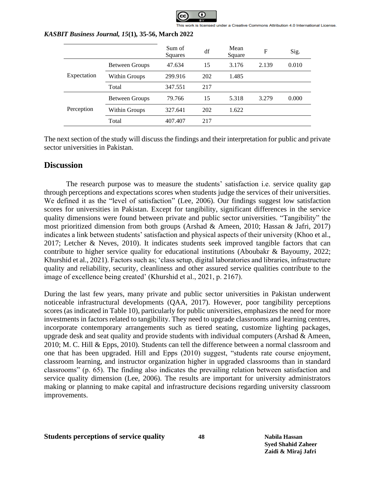

|             |                       | Sum of<br>Squares | df  | Mean<br>Square | $\mathbf F$ | Sig.  |
|-------------|-----------------------|-------------------|-----|----------------|-------------|-------|
| Expectation | <b>Between Groups</b> | 47.634            | 15  | 3.176          | 2.139       | 0.010 |
|             | Within Groups         | 299.916           | 202 | 1.485          |             |       |
|             | Total                 | 347.551           | 217 |                |             |       |
| Perception  | Between Groups        | 79.766            | 15  | 5.318          | 3.279       | 0.000 |
|             | Within Groups         | 327.641           | 202 | 1.622          |             |       |
|             | Total                 | 407.407           | 217 |                |             |       |

The next section of the study will discuss the findings and their interpretation for public and private sector universities in Pakistan.

# **Discussion**

The research purpose was to measure the students' satisfaction i.e. service quality gap through perceptions and expectations scores when students judge the services of their universities. We defined it as the "level of satisfaction" (Lee, 2006). Our findings suggest low satisfaction scores for universities in Pakistan. Except for tangibility, significant differences in the service quality dimensions were found between private and public sector universities. "Tangibility" the most prioritized dimension from both groups (Arshad & Ameen, 2010; Hassan & Jafri, 2017) indicates a link between students' satisfaction and physical aspects of their university (Khoo et al., 2017; Letcher & Neves, 2010). It indicates students seek improved tangible factors that can contribute to higher service quality for educational institutions (Aboubakr & Bayoumy, 2022; Khurshid et al., 2021). Factors such as; 'class setup, digital laboratories and libraries, infrastructure quality and reliability, security, cleanliness and other assured service qualities contribute to the image of excellence being created' (Khurshid et al., 2021, p. 2167).

During the last few years, many private and public sector universities in Pakistan underwent noticeable infrastructural developments (QAA, 2017). However, poor tangibility perceptions scores (as indicated in [Table 10\)](#page-14-0), particularly for public universities, emphasizes the need for more investments in factors related to tangibility. They need to upgrade classrooms and learning centres, incorporate contemporary arrangements such as tiered seating, customize lighting packages, upgrade desk and seat quality and provide students with individual computers (Arshad  $\&$  Ameen, 2010; M. C. Hill & Epps, 2010). Students can tell the difference between a normal classroom and one that has been upgraded. Hill and Epps (2010) suggest, "students rate course enjoyment, classroom learning, and instructor organization higher in upgraded classrooms than in standard classrooms" (p. 65). The finding also indicates the prevailing relation between satisfaction and service quality dimension (Lee, 2006). The results are important for university administrators making or planning to make capital and infrastructure decisions regarding university classroom improvements.

### **Students perceptions of service quality 48 Nabila Hassan**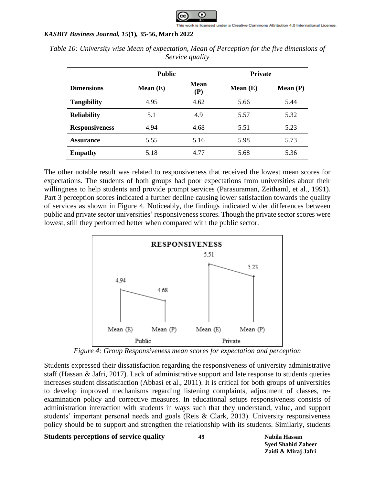

|                       | <b>Public</b> |                        | <b>Private</b> |            |  |
|-----------------------|---------------|------------------------|----------------|------------|--|
| <b>Dimensions</b>     | Mean $(E)$    | Mean<br>$(\mathbf{P})$ | Mean $(E)$     | Mean $(P)$ |  |
| <b>Tangibility</b>    | 4.95          | 4.62                   | 5.66           | 5.44       |  |
| <b>Reliability</b>    | 5.1           | 4.9                    | 5.57           | 5.32       |  |
| <b>Responsiveness</b> | 4.94          | 4.68                   | 5.51           | 5.23       |  |
| <b>Assurance</b>      | 5.55          | 5.16                   | 5.98           | 5.73       |  |
| <b>Empathy</b>        | 5.18          | 4.77                   | 5.68           | 5.36       |  |

<span id="page-14-0"></span>*Table 10: University wise Mean of expectation, Mean of Perception for the five dimensions of Service quality* 

The other notable result was related to responsiveness that received the lowest mean scores for expectations. The students of both groups had poor expectations from universities about their willingness to help students and provide prompt services (Parasuraman, Zeithaml, et al., 1991). Part 3 perception scores indicated a further decline causing lower satisfaction towards the quality of services as shown in [Figure 4.](#page-14-1) Noticeably, the findings indicated wider differences between public and private sector universities' responsiveness scores. Though the private sector scores were lowest, still they performed better when compared with the public sector.



*Figure 4: Group Responsiveness mean scores for expectation and perception*

<span id="page-14-1"></span>Students expressed their dissatisfaction regarding the responsiveness of university administrative staff (Hassan & Jafri, 2017). Lack of administrative support and late response to students queries increases student dissatisfaction (Abbasi et al., 2011). It is critical for both groups of universities to develop improved mechanisms regarding listening complaints, adjustment of classes, reexamination policy and corrective measures. In educational setups responsiveness consists of administration interaction with students in ways such that they understand, value, and support students' important personal needs and goals (Reis & Clark, 2013). University responsiveness policy should be to support and strengthen the relationship with its students. Similarly, students

## **Students perceptions of service quality 49 Nabila Hassan**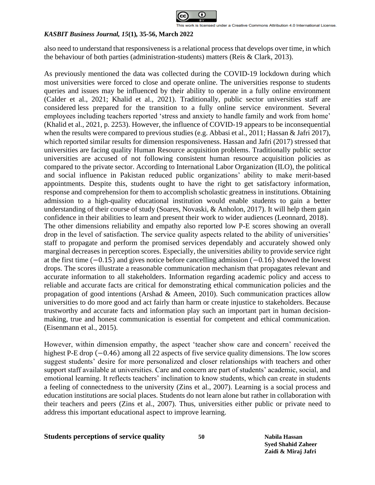

also need to understand that responsiveness is a relational process that develops over time, in which the behaviour of both parties (administration-students) matters (Reis & Clark, 2013).

As previously mentioned the data was collected during the COVID-19 lockdown during which most universities were forced to close and operate online. The universities response to students queries and issues may be influenced by their ability to operate in a fully online environment (Calder et al., 2021; Khalid et al., 2021). Traditionally, public sector universities staff are considered less prepared for the transition to a fully online service environment. Several employees including teachers reported 'stress and anxiety to handle family and work from home' (Khalid et al., 2021, p. 2253). However, the influence of COVID-19 appears to be inconsequential when the results were compared to previous studies (e.g. Abbasi et al., 2011; Hassan & Jafri 2017), which reported similar results for dimension responsiveness. Hassan and Jafri (2017) stressed that universities are facing quality Human Resource acquisition problems. Traditionally public sector universities are accused of not following consistent human resource acquisition policies as compared to the private sector. According to International Labor Organization (ILO), the political and social influence in Pakistan reduced public organizations' ability to make merit-based appointments. Despite this, students ought to have the right to get satisfactory information, response and comprehension for them to accomplish scholastic greatness in institutions. Obtaining admission to a high-quality educational institution would enable students to gain a better understanding of their course of study (Soares, Novaski, & Anholon, 2017). It will help them gain confidence in their abilities to learn and present their work to wider audiences (Leonnard, 2018). The other dimensions reliability and empathy also reported low P-E scores showing an overall drop in the level of satisfaction. The service quality aspects related to the ability of universities' staff to propagate and perform the promised services dependably and accurately showed only marginal decreases in perception scores. Especially, the universities ability to provide service right at the first time (−0.15) and gives notice before cancelling admission (−0.16) showed the lowest drops. The scores illustrate a reasonable communication mechanism that propagates relevant and accurate information to all stakeholders. Information regarding academic policy and access to reliable and accurate facts are critical for demonstrating ethical communication policies and the propagation of good intentions (Arshad & Ameen, 2010). Such communication practices allow universities to do more good and act fairly than harm or create injustice to stakeholders. Because trustworthy and accurate facts and information play such an important part in human decisionmaking, true and honest communication is essential for competent and ethical communication. (Eisenmann et al., 2015).

However, within dimension empathy, the aspect 'teacher show care and concern' received the highest P-E drop (−0.46) among all 22 aspects of five service quality dimensions. The low scores suggest students' desire for more personalized and closer relationships with teachers and other support staff available at universities. Care and concern are part of students' academic, social, and emotional learning. It reflects teachers' inclination to know students, which can create in students a feeling of connectedness to the university (Zins et al., 2007). Learning is a social process and education institutions are social places. Students do not learn alone but rather in collaboration with their teachers and peers (Zins et al., 2007). Thus, universities either public or private need to address this important educational aspect to improve learning.

### **Students perceptions of service quality 50 Nabila Hassan**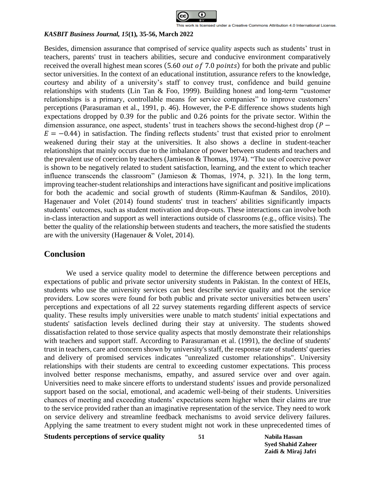

Besides, dimension assurance that comprised of service quality aspects such as students' trust in teachers, parents' trust in teachers abilities, secure and conducive environment comparatively received the overall highest mean scores  $(5.60 \text{ out of } 7.0 \text{ points})$  for both the private and public sector universities. In the context of an educational institution, assurance refers to the knowledge, courtesy and ability of a university's staff to convey trust, confidence and build genuine relationships with students (Lin Tan & Foo, 1999). Building honest and long-term "customer relationships is a primary, controllable means for service companies" to improve customers' perceptions (Parasuraman et al., 1991, p. 46). However, the P-E difference shows students high expectations dropped by 0.39 for the public and 0.26 points for the private sector. Within the dimension assurance, one aspect, students' trust in teachers shows the second-highest drop  $(P E = -0.44$ ) in satisfaction. The finding reflects students' trust that existed prior to enrolment weakened during their stay at the universities. It also shows a decline in student-teacher relationships that mainly occurs due to the imbalance of power between students and teachers and the prevalent use of coercion by teachers (Jamieson & Thomas, 1974). "The use of coercive power is shown to be negatively related to student satisfaction, learning, and the extent to which teacher influence transcends the classroom" (Jamieson & Thomas, 1974, p. 321). In the long term, improving teacher-student relationships and interactions have significant and positive implications for both the academic and social growth of students (Rimm-Kaufman & Sandilos, 2010). Hagenauer and Volet (2014) found students' trust in teachers' abilities significantly impacts students' outcomes, such as student motivation and drop-outs. These interactions can involve both in-class interaction and support as well interactions outside of classrooms (e.g., office visits). The better the quality of the relationship between students and teachers, the more satisfied the students are with the university (Hagenauer & Volet, 2014).

## **Conclusion**

We used a service quality model to determine the difference between perceptions and expectations of public and private sector university students in Pakistan. In the context of HEIs, students who use the university services can best describe service quality and not the service providers. Low scores were found for both public and private sector universities between users' perceptions and expectations of all 22 survey statements regarding different aspects of service quality. These results imply universities were unable to match students' initial expectations and students' satisfaction levels declined during their stay at university. The students showed dissatisfaction related to those service quality aspects that mostly demonstrate their relationships with teachers and support staff. According to Parasuraman et al. (1991), the decline of students' trust in teachers, care and concern shown by university's staff, the response rate of students' queries and delivery of promised services indicates "unrealized customer relationships". University relationships with their students are central to exceeding customer expectations. This process involved better response mechanisms, empathy, and assured service over and over again. Universities need to make sincere efforts to understand students' issues and provide personalized support based on the social, emotional, and academic well-being of their students. Universities chances of meeting and exceeding students' expectations seem higher when their claims are true to the service provided rather than an imaginative representation of the service. They need to work on service delivery and streamline feedback mechanisms to avoid service delivery failures. Applying the same treatment to every student might not work in these unprecedented times of

**Students perceptions of service quality 51 Nabila Hassan**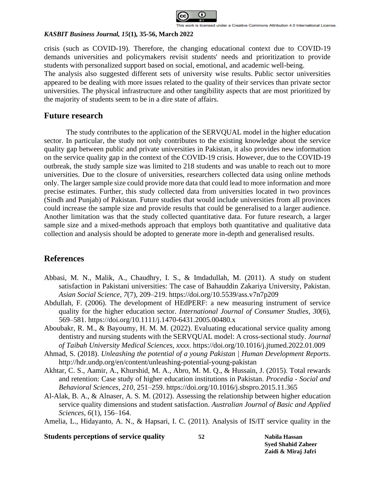

crisis (such as COVID-19). Therefore, the changing educational context due to COVID-19 demands universities and policymakers revisit students' needs and prioritization to provide students with personalized support based on social, emotional, and academic well-being. The analysis also suggested different sets of university wise results. Public sector universities appeared to be dealing with more issues related to the quality of their services than private sector universities. The physical infrastructure and other tangibility aspects that are most prioritized by the majority of students seem to be in a dire state of affairs.

# **Future research**

The study contributes to the application of the SERVQUAL model in the higher education sector. In particular, the study not only contributes to the existing knowledge about the service quality gap between public and private universities in Pakistan, it also provides new information on the service quality gap in the context of the COVID-19 crisis. However, due to the COVID-19 outbreak, the study sample size was limited to 218 students and was unable to reach out to more universities. Due to the closure of universities, researchers collected data using online methods only. The larger sample size could provide more data that could lead to more information and more precise estimates. Further, this study collected data from universities located in two provinces (Sindh and Punjab) of Pakistan. Future studies that would include universities from all provinces could increase the sample size and provide results that could be generalised to a larger audience. Another limitation was that the study collected quantitative data. For future research, a larger sample size and a mixed-methods approach that employs both quantitative and qualitative data collection and analysis should be adopted to generate more in-depth and generalised results.

# **References**

- Abbasi, M. N., Malik, A., Chaudhry, I. S., & Imdadullah, M. (2011). A study on student satisfaction in Pakistani universities: The case of Bahauddin Zakariya University, Pakistan. *Asian Social Science*, *7*(7), 209–219. https://doi.org/10.5539/ass.v7n7p209
- Abdullah, F. (2006). The development of HEdPERF: a new measuring instrument of service quality for the higher education sector. *International Journal of Consumer Studies*, *30*(6), 569–581. https://doi.org/10.1111/j.1470-6431.2005.00480.x
- Aboubakr, R. M., & Bayoumy, H. M. M. (2022). Evaluating educational service quality among dentistry and nursing students with the SERVQUAL model: A cross-sectional study. *Journal of Taibah University Medical Sciences*, *xxxx*. https://doi.org/10.1016/j.jtumed.2022.01.009
- Ahmad, S. (2018). *Unleashing the potential of a young Pakistan | Human Development Reports*. http://hdr.undp.org/en/content/unleashing-potential-young-pakistan
- Akhtar, C. S., Aamir, A., Khurshid, M. A., Abro, M. M. Q., & Hussain, J. (2015). Total rewards and retention: Case study of higher education institutions in Pakistan. *Procedia - Social and Behavioral Sciences*, *210*, 251–259. https://doi.org/10.1016/j.sbspro.2015.11.365
- Al-Alak, B. A., & Alnaser, A. S. M. (2012). Assessing the relationship between higher education service quality dimensions and student satisfaction. *Australian Journal of Basic and Applied Sciences*, *6*(1), 156–164.

Amelia, L., Hidayanto, A. N., & Hapsari, I. C. (2011). Analysis of IS/IT service quality in the

## **Students perceptions of service quality 52 Nabila Hassan**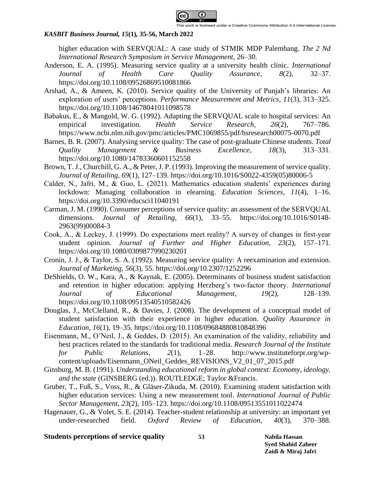

higher education with SERVQUAL: A case study of STMIK MDP Palembang. *The 2 Nd International Research Symposium in Service Management*, 26–30.

- Anderson, E. A. (1995). Measuring service quality at a university health clinic. *International Journal of Health Care Quality Assurance*, *8*(2), 32–37. https://doi.org/10.1108/09526869510081866
- Arshad, A., & Ameen, K. (2010). Service quality of the University of Punjab's libraries: An exploration of users' perceptions. *Performance Measurement and Metrics*, *11*(3), 313–325. https://doi.org/10.1108/14678041011098578
- Babakus, E., & Mangold, W. G. (1992). Adapting the SERVQUAL scale to hospital services: An empirical investigation. *Health Service Research*, *26*(2), 767–786. https://www.ncbi.nlm.nih.gov/pmc/articles/PMC1069855/pdf/hsresearch00075-0070.pdf
- Barnes, B. R. (2007). Analysing service quality: The case of post-graduate Chinese students. *Total Quality Management & Business Excellence*, *18*(3), 313–331. https://doi.org/10.1080/14783360601152558
- Brown, T. J., Churchill, G. A., & Peter, J. P. (1993). Improving the measurement of service quality. *Journal of Retailing*, *69*(1), 127–139. https://doi.org/10.1016/S0022-4359(05)80006-5
- Calder, N., Jafri, M., & Guo, L. (2021). Mathematics education students' experiences during lockdown: Managing collaboration in elearning. *Education Sciences*, *11*(4), 1–16. https://doi.org/10.3390/educsci11040191
- Carman, J. M. (1990). Consumer perceptions of service quality: an assessment of the SERVQUAL dimensions. *Journal of Retailing*, *66*(1), 33–55. https://doi.org/10.1016/S0148- 2963(99)00084-3
- Cook, A., & Leckey, J. (1999). Do expectations meet reality? A survey of changes in first‐year student opinion. *Journal of Further and Higher Education*, *23*(2), 157–171. https://doi.org/10.1080/0309877990230201
- Cronin, J. J., & Taylor, S. A. (1992). Measuring service quality: A reexamination and extension. *Journal of Marketing*, *56*(3), 55. https://doi.org/10.2307/1252296
- DeShields, O. W., Kara, A., & Kaynak, E. (2005). Determinants of business student satisfaction and retention in higher education: applying Herzberg's two‐factor theory. *International Journal of Educational Management*, *19*(2), 128–139. https://doi.org/10.1108/09513540510582426
- Douglas, J., McClelland, R., & Davies, J. (2008). The development of a conceptual model of student satisfaction with their experience in higher education. *Quality Assurance in Education*, *16*(1), 19–35. https://doi.org/10.1108/09684880810848396
- Eisenmann, M., O'Neil, J., & Geddes, D. (2015). An examination of the validity, reliability and best practices related to the standards for traditional media. *Research Journal of the Institute for Public Relations*, *2*(1), 1–28. http://www.instituteforpr.org/wpcontent/uploads/Eisenmann\_ONeil\_Geddes\_REVISIONS\_V2\_01\_07\_2015.pdf
- Ginsburg, M. B. (1991). *Understanding educational reform in global context: Economy, ideology, and the state* (GINSBERG (ed.)). ROUTLEDGE; Taylor &Francis.
- Gruber, T., Fuß, S., Voss, R., & Gläser-Zikuda, M. (2010). Examining student satisfaction with higher education services: Using a new measurement tool. *International Journal of Public Sector Management*, *23*(2), 105–123. https://doi.org/10.1108/09513551011022474
- Hagenauer, G., & Volet, S. E. (2014). Teacher-student relationship at university: an important yet under-researched field. *Oxford Review of Education*, *40*(3), 370–388.

### **Students perceptions of service quality 53 Nabila Hassan**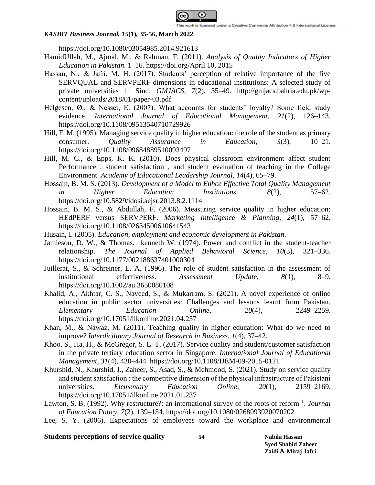

https://doi.org/10.1080/03054985.2014.921613

- HamidUllah, M., Ajmal, M., & Rahman, F. (2011). *Analysis of Quality Indicators of Higher Education in Pakistan*. 1–16. https://doi.org/April 10, 2015
- Hassan, N., & Jafri, M. H. (2017). Students' perception of relative importance of the five SERVQUAL and SERVPERF dimensions in educational institutions: A selected study of private universities in Sind. *GMJACS*, *7*(2), 35–49. http://gmjacs.bahria.edu.pk/wpcontent/uploads/2018/01/paper-03.pdf
- Helgesen,  $\emptyset$ ., & Nesset, E. (2007). What accounts for students' loyalty? Some field study evidence. *International Journal of Educational Management*, *21*(2), 126–143. https://doi.org/10.1108/09513540710729926
- Hill, F. M. (1995). Managing service quality in higher education: the role of the student as primary consumer. *Quality Assurance in Education*, *3*(3), 10–21. https://doi.org/10.1108/09684889510093497
- Hill, M. C., & Epps, K. K. (2010). Does physical classroom environment affect student Performance , student satisfaction , and student evaluation of teaching in the College Environment. *Academy of Educational Leadership Journal*, *14*(4), 65–79.
- Hossain, B. M. S. (2013). *Development of a Model to Enhce Effective Total Quality Management iigher Education Institutions.*  $8(2)$ , 57–62. https://doi.org/10.5829/idosi.aejsr.2013.8.2.1114
- Hossain, B. M. S., & Abdullah, F. (2006). Measuring service quality in higher education: HEdPERF versus SERVPERF. *Marketing Intelligence & Planning*, *24*(1), 57–62. https://doi.org/10.1108/02634500610641543
- Husain, I. (2005). *Education, employment and economic development in Pakistan*.
- Jamieson, D. W., & Thomas, kenneth W. (1974). Power and conflict in the student-teacher relationship. *The Journal of Applied Behavioral Science*, *10*(3), 321–336. https://doi.org/10.1177/002188637401000304
- Juillerat, S., & Schreiner, L. A. (1996). The role of student satisfaction in the assessment of institutional effectiveness. *Assessment Update*, *8*(1), 8–9. https://doi.org/10.1002/au.3650080108
- Khalid, A., Akhtar, C. S., Naveed, S., & Mukarram, S. (2021). A novel experience of online education in public sector universities: Challenges and lessons learnt from Pakistan. *Elementary Education Online*, *20*(4), 2249–2259. https://doi.org/10.17051/ilkonline.2021.04.257
- Khan, M., & Nawaz, M. (2011). Teaching quality in higher education: What do we need to improve? *Interdicilinary Journal of Research in Business*, *1*(4), 37–42.
- Khoo, S., Ha, H., & McGregor, S. L. T. (2017). Service quality and student/customer satisfaction in the private tertiary education sector in Singapore. *International Journal of Educational Management*, *31*(4), 430–444. https://doi.org/10.1108/IJEM-09-2015-0121
- Khurshid, N., Khurshid, J., Zaheer, S., Asad, S., & Mehmood, S. (2021). Study on service quality and student satisfaction : the competitive dimension of the physical infrastructure of Pakistani universities. *Elementary Education Online*, *20*(1), 2159–2169. https://doi.org/10.17051/ilkonline.2021.01.237
- Lawton, S. B. (1992). Why restructure?: an international survey of the roots of reform <sup>1</sup>. *Journal of Education Policy*, *7*(2), 139–154. https://doi.org/10.1080/0268093920070202
- Lee, S. Y. (2006). Expectations of employees toward the workplace and environmental

### **Students perceptions of service quality 54 Nabila Hassan**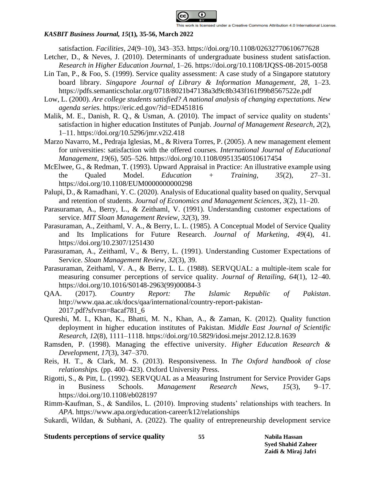

satisfaction. *Facilities*, *24*(9–10), 343–353. https://doi.org/10.1108/02632770610677628

- Letcher, D., & Neves, J. (2010). Determinants of undergraduate business student satisfaction. *Research in Higher Education Journal*, 1–26. https://doi.org/10.1108/IJQSS-08-2015-0058
- Lin Tan, P., & Foo, S. (1999). Service quality assessment: A case study of a Singapore statutory board library. *Singapore Journal of Library & Information Management*, *28*, 1–23. https://pdfs.semanticscholar.org/0718/8021b47138a3d9c8b343f161f99b8567522e.pdf
- Low, L. (2000). *Are college students satisfied? A national analysis of changing expectations. New agenda series.* https://eric.ed.gov/?id=ED451816
- Malik, M. E., Danish, R. Q., & Usman, A. (2010). The impact of service quality on students' satisfaction in higher education Institutes of Punjab. *Journal of Management Research*, *2*(2), 1–11. https://doi.org/10.5296/jmr.v2i2.418
- Marzo Navarro, M., Pedraja Iglesias, M., & Rivera Torres, P. (2005). A new management element for universities: satisfaction with the offered courses. *International Journal of Educational Management*, *19*(6), 505–526. https://doi.org/10.1108/09513540510617454
- McElwee, G., & Redman, T. (1993). Upward Appraisal in Practice: An illustrative example using the Qualed Model. *Education + Training*, *35*(2), 27–31. https://doi.org/10.1108/EUM0000000000298
- Palupi, D., & Ramadhani, Y. C. (2020). Analysis of Educational quality based on quality, Servqual and retention of students. *Journal of Economics and Management Sciences*, *3*(2), 11–20.
- Parasuraman, A., Berry, L., & Zeithaml, V. (1991). Understanding customer expectations of service. *MIT Sloan Management Review*, *32*(3), 39.
- Parasuraman, A., Zeithaml, V. A., & Berry, L. L. (1985). A Conceptual Model of Service Quality and Its Implications for Future Research. *Journal of Marketing*, *49*(4), 41. https://doi.org/10.2307/1251430
- Parasuraman, A., Zeithaml, V., & Berry, L. (1991). Understanding Customer Expectations of Service. *Sloan Management Review*, *32*(3), 39.
- Parasuraman, Zeithaml, V. A., & Berry, L. L. (1988). SERVQUAL: a multiple-item scale for measuring consumer perceptions of service quality. *Journal of Retailing*, *64*(1), 12–40. https://doi.org/10.1016/S0148-2963(99)00084-3
- QAA. (2017). *Country Report: The Islamic Republic of Pakistan*. http://www.qaa.ac.uk/docs/qaa/international/country-report-pakistan-2017.pdf?sfvrsn=8acaf781\_6
- Qureshi, M. I., Khan, K., Bhatti, M. N., Khan, A., & Zaman, K. (2012). Quality function deployment in higher education institutes of Pakistan. *Middle East Journal of Scientific Research*, *12*(8), 1111–1118. https://doi.org/10.5829/idosi.mejsr.2012.12.8.1639
- Ramsden, P. (1998). Managing the effective university. *Higher Education Research & Development*, *17*(3), 347–370.
- Reis, H. T., & Clark, M. S. (2013). Responsiveness. In *The Oxford handbook of close relationships.* (pp. 400–423). Oxford University Press.
- Rigotti, S., & Pitt, L. (1992). SERVQUAL as a Measuring Instrument for Service Provider Gaps in Business Schools. *Management Research News*, *15*(3), 9–17. https://doi.org/10.1108/eb028197
- Rimm-Kaufman, S., & Sandilos, L. (2010). Improving students' relationships with teachers. In *APA*. https://www.apa.org/education-career/k12/relationships
- Sukardi, Wildan, & Subhani, A. (2022). The quality of entrepreneurship development service

### **Students perceptions of service quality 55 Nabila Hassan**